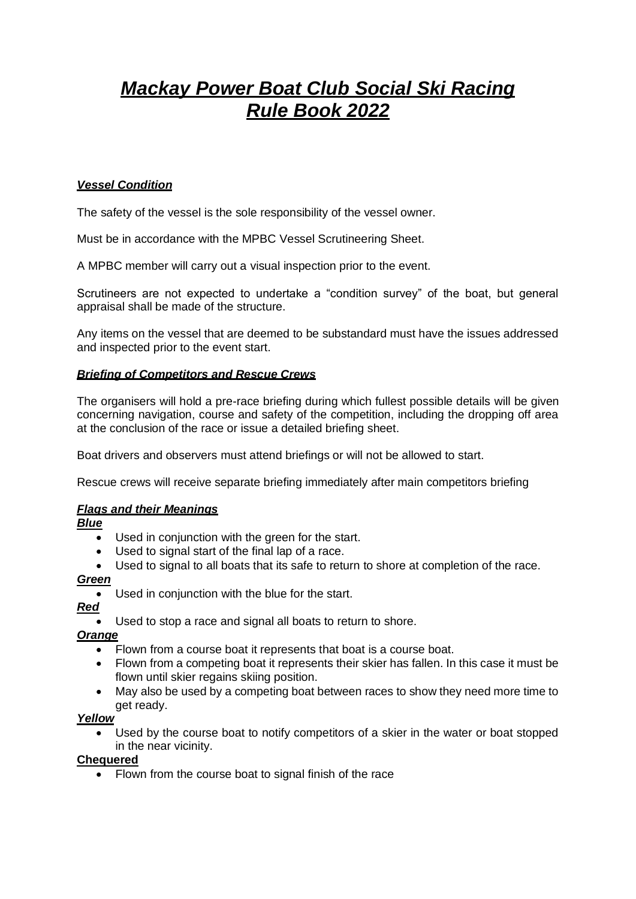# *Mackay Power Boat Club Social Ski Racing Rule Book 2022*

# *Vessel Condition*

The safety of the vessel is the sole responsibility of the vessel owner.

Must be in accordance with the MPBC Vessel Scrutineering Sheet.

A MPBC member will carry out a visual inspection prior to the event.

Scrutineers are not expected to undertake a "condition survey" of the boat, but general appraisal shall be made of the structure.

Any items on the vessel that are deemed to be substandard must have the issues addressed and inspected prior to the event start.

## *Briefing of Competitors and Rescue Crews*

The organisers will hold a pre-race briefing during which fullest possible details will be given concerning navigation, course and safety of the competition, including the dropping off area at the conclusion of the race or issue a detailed briefing sheet.

Boat drivers and observers must attend briefings or will not be allowed to start.

Rescue crews will receive separate briefing immediately after main competitors briefing

## *Flags and their Meanings*

*Blue*

- Used in conjunction with the green for the start.
- Used to signal start of the final lap of a race.
- Used to signal to all boats that its safe to return to shore at completion of the race.

## *Green*

• Used in conjunction with the blue for the start.

*Red*

Used to stop a race and signal all boats to return to shore.

## *Orange*

- Flown from a course boat it represents that boat is a course boat.
- Flown from a competing boat it represents their skier has fallen. In this case it must be flown until skier regains skiing position.
- May also be used by a competing boat between races to show they need more time to get ready.

## *Yellow*

Used by the course boat to notify competitors of a skier in the water or boat stopped in the near vicinity.

## **Chequered**

• Flown from the course boat to signal finish of the race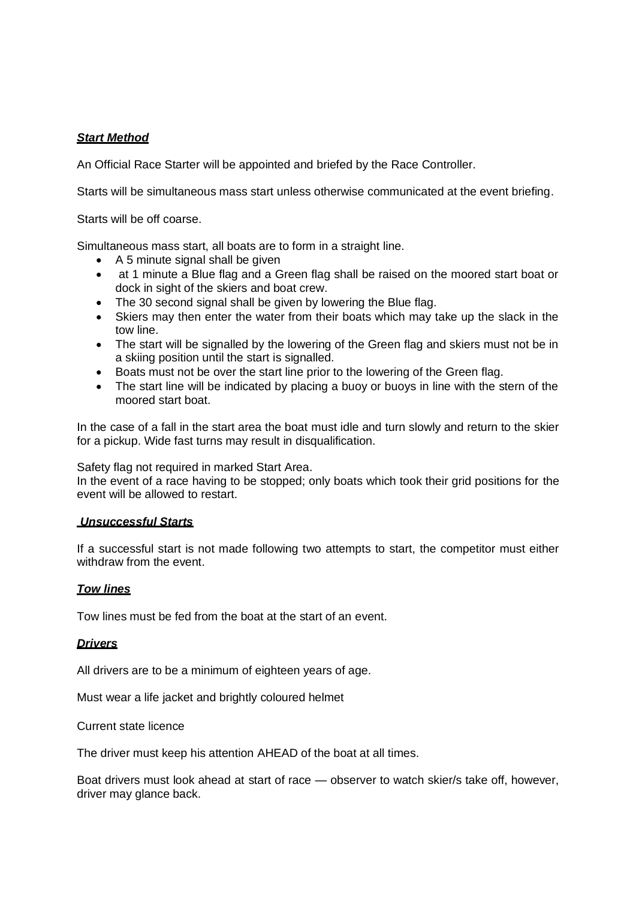# *Start Method*

An Official Race Starter will be appointed and briefed by the Race Controller.

Starts will be simultaneous mass start unless otherwise communicated at the event briefing.

Starts will be off coarse.

Simultaneous mass start, all boats are to form in a straight line.

- A 5 minute signal shall be given
- at 1 minute a Blue flag and a Green flag shall be raised on the moored start boat or dock in sight of the skiers and boat crew.
- The 30 second signal shall be given by lowering the Blue flag.
- Skiers may then enter the water from their boats which may take up the slack in the tow line.
- The start will be signalled by the lowering of the Green flag and skiers must not be in a skiing position until the start is signalled.
- Boats must not be over the start line prior to the lowering of the Green flag.
- The start line will be indicated by placing a buoy or buoys in line with the stern of the moored start boat.

In the case of a fall in the start area the boat must idle and turn slowly and return to the skier for a pickup. Wide fast turns may result in disqualification.

Safety flag not required in marked Start Area.

In the event of a race having to be stopped; only boats which took their grid positions for the event will be allowed to restart.

#### *Unsuccessful Starts*

If a successful start is not made following two attempts to start, the competitor must either withdraw from the event.

## *Tow lines*

Tow lines must be fed from the boat at the start of an event.

#### *Drivers*

All drivers are to be a minimum of eighteen years of age.

Must wear a life jacket and brightly coloured helmet

Current state licence

The driver must keep his attention AHEAD of the boat at all times.

Boat drivers must look ahead at start of race — observer to watch skier/s take off, however, driver may glance back.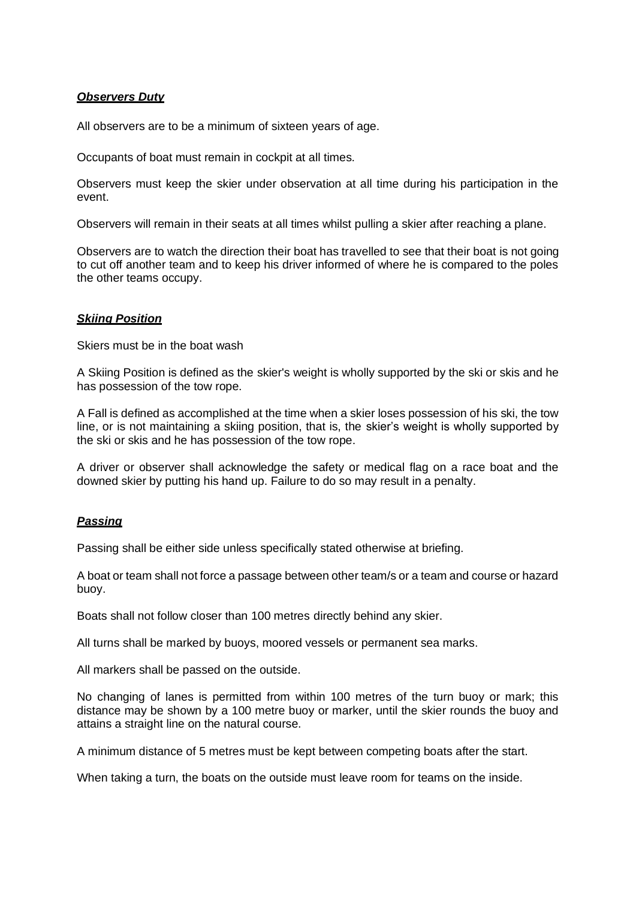## *Observers Duty*

All observers are to be a minimum of sixteen years of age.

Occupants of boat must remain in cockpit at all times.

Observers must keep the skier under observation at all time during his participation in the event.

Observers will remain in their seats at all times whilst pulling a skier after reaching a plane.

Observers are to watch the direction their boat has travelled to see that their boat is not going to cut off another team and to keep his driver informed of where he is compared to the poles the other teams occupy.

## *Skiing Position*

Skiers must be in the boat wash

A Skiing Position is defined as the skier's weight is wholly supported by the ski or skis and he has possession of the tow rope.

A Fall is defined as accomplished at the time when a skier loses possession of his ski, the tow line, or is not maintaining a skiing position, that is, the skier's weight is wholly supported by the ski or skis and he has possession of the tow rope.

A driver or observer shall acknowledge the safety or medical flag on a race boat and the downed skier by putting his hand up. Failure to do so may result in a penalty.

#### *Passing*

Passing shall be either side unless specifically stated otherwise at briefing.

A boat or team shall not force a passage between other team/s or a team and course or hazard buoy.

Boats shall not follow closer than 100 metres directly behind any skier.

All turns shall be marked by buoys, moored vessels or permanent sea marks.

All markers shall be passed on the outside.

No changing of lanes is permitted from within 100 metres of the turn buoy or mark; this distance may be shown by a 100 metre buoy or marker, until the skier rounds the buoy and attains a straight line on the natural course.

A minimum distance of 5 metres must be kept between competing boats after the start.

When taking a turn, the boats on the outside must leave room for teams on the inside.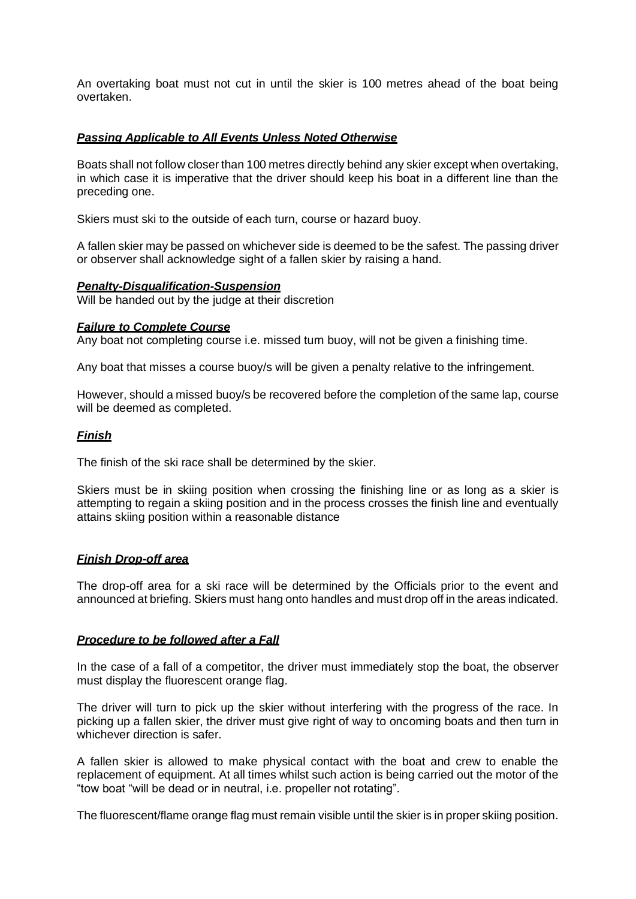An overtaking boat must not cut in until the skier is 100 metres ahead of the boat being overtaken.

## *Passing Applicable to All Events Unless Noted Otherwise*

Boats shall not follow closer than 100 metres directly behind any skier except when overtaking, in which case it is imperative that the driver should keep his boat in a different line than the preceding one.

Skiers must ski to the outside of each turn, course or hazard buoy.

A fallen skier may be passed on whichever side is deemed to be the safest. The passing driver or observer shall acknowledge sight of a fallen skier by raising a hand.

#### *Penalty-Disqualification-Suspension*

Will be handed out by the judge at their discretion

#### *Failure to Complete Course*

Any boat not completing course i.e. missed turn buoy, will not be given a finishing time.

Any boat that misses a course buoy/s will be given a penalty relative to the infringement.

However, should a missed buoy/s be recovered before the completion of the same lap, course will be deemed as completed.

#### *Finish*

The finish of the ski race shall be determined by the skier.

Skiers must be in skiing position when crossing the finishing line or as long as a skier is attempting to regain a skiing position and in the process crosses the finish line and eventually attains skiing position within a reasonable distance

#### *Finish Drop-off area*

The drop-off area for a ski race will be determined by the Officials prior to the event and announced at briefing. Skiers must hang onto handles and must drop off in the areas indicated.

#### *Procedure to be followed after a Fall*

In the case of a fall of a competitor, the driver must immediately stop the boat, the observer must display the fluorescent orange flag.

The driver will turn to pick up the skier without interfering with the progress of the race. In picking up a fallen skier, the driver must give right of way to oncoming boats and then turn in whichever direction is safer.

A fallen skier is allowed to make physical contact with the boat and crew to enable the replacement of equipment. At all times whilst such action is being carried out the motor of the "tow boat "will be dead or in neutral, i.e. propeller not rotating".

The fluorescent/flame orange flag must remain visible until the skier is in proper skiing position.